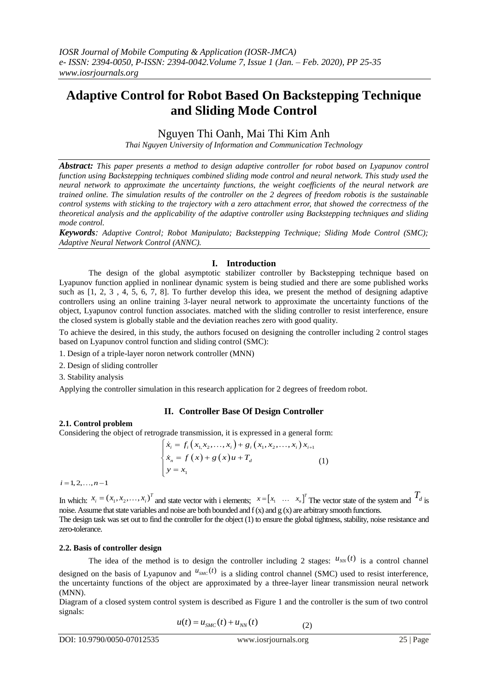# **Adaptive Control for Robot Based On Backstepping Technique and Sliding Mode Control**

Nguyen Thi Oanh, Mai Thi Kim Anh

*Thai Nguyen University of Information and Communication Technology*

*Abstract: This paper presents a method to design adaptive controller for robot based on Lyapunov control function using Backstepping techniques combined sliding mode control and neural network. This study used the neural network to approximate the uncertainty functions, the weight coefficients of the neural network are trained online. The simulation results of the controller on the 2 degrees of freedom robotis is the sustainable control systems with sticking to the trajectory with a zero attachment error, that showed the correctness of the theoretical analysis and the applicability of the adaptive controller using Backstepping techniques and sliding mode control.*

*Keywords: Adaptive Control; Robot Manipulato; Backstepping Technique; Sliding Mode Control (SMC); Adaptive Neural Network Control (ANNC).*

# **I. Introduction**

The design of the global asymptotic stabilizer controller by Backstepping technique based on Lyapunov function applied in nonlinear dynamic system is being studied and there are some published works such as [1, 2, 3 , 4, 5, 6, 7, 8]. To further develop this idea, we present the method of designing adaptive controllers using an online training 3-layer neural network to approximate the uncertainty functions of the object, Lyapunov control function associates. matched with the sliding controller to resist interference, ensure the closed system is globally stable and the deviation reaches zero with good quality.

To achieve the desired, in this study, the authors focused on designing the controller including 2 control stages based on Lyapunov control function and sliding control (SMC):

1. Design of a triple-layer noron network controller (MNN)

2. Design of sliding controller

3. Stability analysis

Applying the controller simulation in this research application for 2 degrees of freedom robot.

#### **II. Controller Base Of Design Controller**

#### **2.1. Control problem**

Considering the object of retrograde transmission, it is expressed in a general form:<br>  $\left(\dot{x}_i = f_i\left(x_1, x_2, ..., x_i\right) + g_i\left(x_1, x_2, ..., x_i\right)x_{i+1}\right)$ 

$$
\begin{cases}\n\dot{x}_i = f_i(x_1, x_2, \dots, x_i) + g_i(x_1, x_2, \dots, x_i) x_{i+1} \\
\dot{x}_n = f(x) + g(x)u + T_d \\
y = x_1\n\end{cases}
$$
\n(1)

 $i = 1, 2, \ldots, n - 1$ 

In which:  $x_i = (x_1, x_2, \dots, x_i)^T$  and state vector with i elements;  $x = [x_1, \dots, x_n]^T$  The vector state of the system and  $T_d$  is noise. Assume that state variables and noise are both bounded and  $f(x)$  and  $g(x)$  are arbitrary smooth functions. The design task was set out to find the controller for the object (1) to ensure the global tightness, stability, noise resistance and zero-tolerance. or state of the system and  $T_d$  is<br>mooth functions.<br>ss, stability, noise resistance and<br> $u_{NN}(t)$  is a control channel<br>) used to resist interference,<br>ransmission neural network

#### **2.2. Basis of controller design**

The idea of the method is to design the controller including 2 stages:  $u_{NN}(t)$  is a control channel designed on the basis of Lyapunov and  $u_{SM}$ <sup>(t)</sup> is a sliding control channel (SMC) used to resist interference, (1)<br>
or with i elements;  $x = [x_1 \dots x_n]^T$  The vector<br>
both bounded and f (x) and g (x) are arbitrary sme<br>
ler for the object (1) to ensure the global tightness<br>
lesign the controller including 2 stages:  $u$ <br>  $u_{SMC}(t)$  is a the uncertainty functions of the object are approximated by a three-layer linear transmission neural network (MNN).

Diagram of a closed system control system is described as Figure 1 and the controller is the sum of two control signals:

$$
u(t) = u_{SMC}(t) + u_{NN}(t)
$$
 (2)

DOI: 10.9790/0050-07012535 www.iosrjournals.org 25 | Page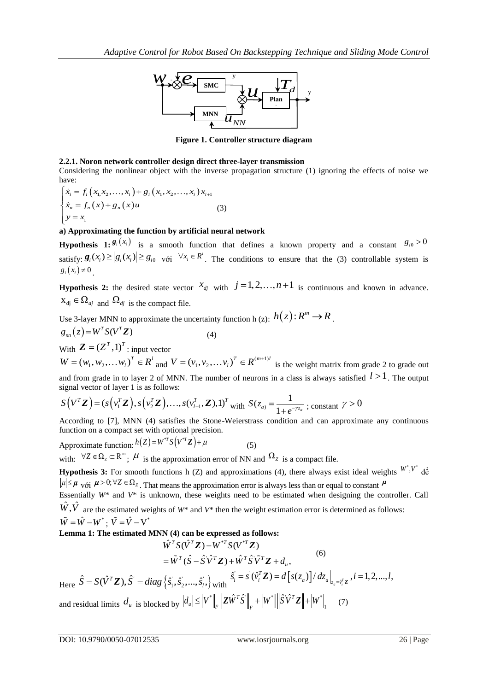

**Figure 1. Controller structure diagram**

# **2.2.1. Noron network controller design direct three-layer transmission**

Considering the nonlinear object with the inverse propagation structure (1) ignoring the effects of noise we have:  $x_i = f_i(x_1, x_2, ..., x_i) + g_i(x_1, x_2, ..., x_i)x_i$ *x<sub>i</sub>* =  $f_i(x_1, x_2, ..., x_i) + g_i(x_1, x_2, ..., x_i)x_i$  $\begin{aligned} \n\therefore \\
f_i(x_1, x_2, \ldots, x_i) + g_i(x_1, x_2, \ldots, x_i) x_i. \n\end{aligned}$ 

\n- **2.2.1. Noron network controller design direct three-layer transmission** Considering the nonlinear object with the inverse propagation structure have:
\n- \n
$$
\begin{cases}\n\dot{x}_i = f_i(x_1, x_2, \ldots, x_i) + g_i(x_1, x_2, \ldots, x_i)x_{i+1} \\
\dot{x}_n = f_n(x) + g_n(x)u\n\end{cases}
$$
\n
\n- (3)  $y = x_1$ \n
\n- **approximating the function by artificial neural network**
\n- **Hypothesis 1:**\n $g_i(x_i)$  is a smooth function that defines a known satisfy:\n  $g_i(x_i) \geq |g_i(x_i)| \geq g_{i0}$ \n  $v_i$ \n with  $j = 1, 2, \ldots, n+1$ \n with  $j = 1, 2, \ldots, n+1$ \n with  $x_i \in \Omega$ \n
\n

# **a) Approximating the function by artificial neural network**

**Hypothesis 1:** is a smooth function that defines a known property and a constant  $g_{i0} > 0$ satisfy:  $\mathbf{g}_i(x_i) \geq |g_i(x_i)| \geq g_{i0}$  với  $\forall x_i \in \mathbb{R}^i$ . The condition *<sup>i</sup> x R* . The conditions to ensure that the (3) controllable system is  $g_i(x_i) \neq 0$ 

**Hypothesis 2:** the desired state vector  $x_{dj}$  with  $j = 1, 2, ..., n+1$  is continuous and known in advance.  $X_{dj} \in \Omega_{dj}$  and  $\Omega_{dj}$  is the compact file.

Use 3-layer MNN to approximate the uncertainty function h (z):  $h(z)$ :  $R^m \to R$ .

$$
g_{nn}(z) = W^T S(V^T \mathbf{Z})
$$
\n(4)

With  $\mathbf{Z} = (Z^T, 1)^T$ : input vector

 $W = (w_1, w_2,... w_l)^T \in R^l$  and  $V = (v_1, v_2,... v_l)^T \in R^{(m+1)l}$  is the weight matrix from grade 2 to grade out and from grade in to layer 2 of MNN. The number of neurons in a class is always satisfied  $l > 1$ . The output

signal vector of layer 1 is as follows:  
\n
$$
S(V^T\mathbf{Z}) = (s(v_1^T\mathbf{Z}), s(v_2^T\mathbf{Z}), ..., s(v_{l-1}^T,\mathbf{Z}), 1)^T \text{ with } S(z_a) = \frac{1}{1 + e^{-\gamma z_a}}; \text{ constant } \gamma > 0
$$

According to [7], MNN (4) satisfies the Stone-Weierstrass condition and can approximate any continuous function on a compact set with optional precision.

Approximate function:  $h(Z) = W^{\gamma T} S(V^{\gamma T} Z) + \mu$  (5)

with:  $\forall Z \in \Omega_z \subset \mathbb{R}^m$ ;  $\mu$  is the approximation error of NN and  $\Omega_z$  is a compact file.

**Hypothesis 3:** For smooth functions h (Z) and approximations (4), there always exist ideal weights  $W, V$  de ntinuous<br>
W<sup>\*</sup>, V<sup>\*</sup> de de let Call  $\mu \le \mu$  với  $\mu > 0$ ;  $\forall Z \in \Omega_Z$ . That means the approximation error is always less than or equal to constant  $\mu$ Essentially *W*\* and *V*\* is unknown, these weights need to be estimated when designing the controller. Call signal vector of layer 1 is as follows:<br> *S*(*V<sup>T</sup>Z*) = (*s*(*v*<sub>I</sub><sup>T</sup>Z), *s*(*v*<sub><sub>I</sub><sup>T</sup>Z</sub>),..., *s*(*v*<sub>I<sup>T</sup><sub>-1</sub></sub>, **Z**),1)<sup>*T*</sup> with *S*(*z<sub>a</sub>*) =  $\frac{1}{1 + e^{-\gamma z_a}}$ <br>
According to [7], MNN (4) satisfies the Stone-Weiers  $\hat{W}, \hat{V}$  are the estimated weights of  $W^*$  and  $V^*$  then the weight estimation error is determined as follows:

$$
\tilde{W}=\hat{W}-W^{*}\;;\;\tilde{V}=\hat{V}-V^{*}
$$

**Lemma 1: The estimated MNN (4) can be expressed as follows:<br>** $\hat{W}^T S(\hat{V}^T \mathbf{Z}) - W^{*T} S(V^{*T} \mathbf{Z})$ 

$$
\hat{W}^T S(\hat{V}^T \mathbf{Z}) - W^{*T} S(V^{*T} \mathbf{Z})
$$
\n
$$
= \tilde{W}^T (\hat{S} - \hat{S} \hat{V}^T \mathbf{Z}) + \hat{W}^T \hat{S} \tilde{V}^T \mathbf{Z} + d_u,
$$
\n
$$
\hat{S} = S(\hat{V}^T \mathbf{Z}), \hat{S}^{\dagger} = diag \{ \hat{s}_1^{\dagger}, \hat{s}_2^{\dagger}, \dots, \hat{s}_i^{\dagger} \} \text{ with } \hat{s}_i = s^{\dagger} (\hat{v}_i^T \mathbf{Z}) = d \left[ s(z_a) \right] / dz_a \big|_{z_a = \hat{v}_i^T \mathbf{Z}}, i = 1, 2, \dots, l,
$$

and residual limits  $d_u$  is blocked by  $|d_u| \leq ||V^*||_F ||Z\hat{W}^T\hat{S}||_F + ||W^*|| ||\hat{S}V^TZ|| + ||W^*||_F$  $\left\|\hat{V}^T \hat{S}^{\cdot}\right\|_F + \left\|W^*\right\|\left\|\hat{S}^{\cdot}\hat{V}^T\bm{Z}\right\| + \left\|W^*\right\|_1.$  $|W^*| = \|V^*\|_F \|\mathbf{Z}\hat{W}^T\hat{S}^*\|_F + \|W^*\| \|\hat{S}\hat{V}^T\mathbf{Z}\| + |W^*|_F.$ (7)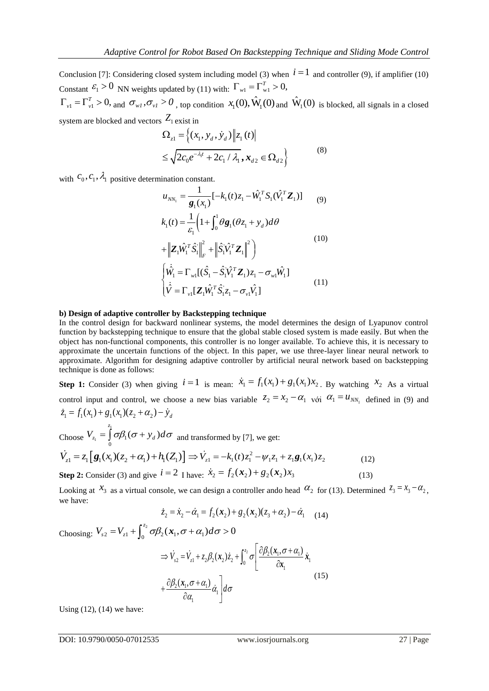Conclusion [7]: Considering closed system including model (3) when  $i = 1$  and controller (9), if amplifier (10) Constant  $\mathcal{E}_1 > 0$  NN weights updated by (11) with:  $\Gamma_{w1} = \Gamma_{w1}^T > 0$ , *we Control for Robot Based On Backstepping Technique*<br>
idering closed system including model (3) when  $i = 1$  and co<br> *(* weights updated by (11) with:  $\Gamma_{w1} = \Gamma_{w1}^T > 0$ ,<br>  $\sigma_{w1}, \sigma_{v1} > 0$ , top condition  $x_1(0), \hat{W}_1$ *Technique and Sliding Mode Control*<br>  $i = 1$  and controller (9), if amplifier (10)<br>  $\hat{W}_1(0)$  is blocked, all signals in a closed Adaptive Control for Robot Based On Backsteppin<br>
lusion [7]: Considering closed system including model (3) wher<br>
tant  $\varepsilon_1 > 0$  NN weights updated by (11) with:  $\Gamma_{w1} = \Gamma_{w1}^T > 0$ ,<br>  $= \Gamma_{v1}^T > 0$ , and  $\sigma_{w1}, \sigma_{v1} > 0$ 

 $\Gamma_{v1} = \Gamma_{v1}^T > 0$ , and  $\sigma_{w1}$ ,  $\sigma_{v1} > 0$ , top condition  $x_1(0)$ ,  $\hat{W}_1(0)$  and  $\hat{W}_1(0)$  is blocked, all signals in a closed system are blocked and vectors  $Z_1$  exist in<br>  $\Omega_{z1} = \left\{ (x_1, y_d, \dot{y}_d) \middle\| z_1(t) \right\}$ 

$$
\Omega_{z1} = \left\{ (x_1, y_d, \dot{y}_d) \middle\| z_1(t) \right\} \n\leq \sqrt{2c_0 e^{-\lambda_1 t} + 2c_1 / \lambda_1}, x_{d2} \in \Omega_{d2} \right\}
$$
\n(8)

with  $c_0, c_1, \lambda_1$  positive determination constant.

function constant.

\n
$$
u_{NN_{1}} = \frac{1}{g_{1}(x_{1})}[-k_{1}(t)z_{1} - \hat{W}_{1}^{T}S_{1}(\hat{V}_{1}^{T}\mathbf{Z}_{1})] \qquad (9)
$$
\n
$$
k_{1}(t) = \frac{1}{\varepsilon_{1}}\left(1 + \int_{0}^{1} \theta g_{1}(\theta z_{1} + y_{d}) d\theta + \left\| \mathbf{Z}_{1} \hat{W}_{1}^{T} \hat{S}_{1} \right\|_{F}^{2} + \left\| \hat{S}_{1} \hat{V}_{1}^{T} \mathbf{Z}_{1} \right\|^{2}\right) \qquad (10)
$$
\n
$$
\left\{ \dot{\hat{W}}_{1} = \Gamma_{wl}[(\hat{S}_{1} - \hat{S}_{1} \hat{V}_{1}^{T} \mathbf{Z}_{1})z_{1} - \sigma_{wl} \hat{W}_{1}] \right\}
$$
\n
$$
\left\{ \dot{\hat{V}} = \Gamma_{vl}[\mathbf{Z}_{1} \hat{W}_{1}^{T} \hat{S}_{1} z_{1} - \sigma_{vl} \hat{V}_{1}] \qquad (11)
$$

# **b) Design of adaptive controller by Backstepping technique**

In the control design for backward nonlinear systems, the model determines the design of Lyapunov control function by backstepping technique to ensure that the global stable closed system is made easily. But when the object has non-functional components, this controller is no longer available. To achieve this, it is necessary to approximate the uncertain functions of the object. In this paper, we use three-layer linear neural network to approximate. Algorithm for designing adaptive controller by artificial neural network based on backstepping technique is done as follows: 2 2 1 *z x*

**Step 1:** Consider (3) when giving  $i = 1$  is mean:  $\dot{x}_1 = f_1(x_1) + g_1(x_1)x_2$ . By watching  $x_2$  As a virtual control input and control, we choose a new bias variable  $z_2 = x_2 - \alpha_1$  voi  $\alpha_1 = u_{NN_1}$  defined in (9) and from the time that control, we choose<br>  $\dot{z}_1 = f_1(x_1) + g_1(x_1)(z_2 + \alpha_2) - \dot{y}_d$ As a virtual<br>1 in (9) and<br> $z_3 = x_3 - \alpha_2$ ,

Choose 1  $L_1 - J O P_1$ 0  $V_{z_1} = \int_0^{z_1} \sigma \beta_1 (\sigma + y_d) d\sigma$  and transformed by [7], we get:  $\dot{V}_{z1} = z_1 \left[ \mathbf{g}_1(x_1)(z_2 + \alpha_1) + h_1(Z_1) \right] \Rightarrow \dot{V}_{z1} = -k_1(t)z_1^2$  $\Rightarrow \dot{V}_{z_1} = -k_1(t)z_1^2 - \psi_1 z_1 + z_1 \mathbf{g}_1(x_1)z_2$  (12)

Step 2: Consider (3) and give 
$$
i = 2
$$
 I have:  $\dot{x}_2 = f_2(x_2) + g_2(x_2)x_3$  (13)

Looking at  $x_3$  as a virtual console, we can design a controller ando head  $\alpha_2$  for (13). Determined  $z_3 = x_3 - \alpha_2$ , we have:

$$
\dot{z}_2 = \dot{x}_2 - \dot{\alpha}_1 = f_2(\mathbf{x}_2) + g_2(\mathbf{x}_2)(z_3 + \alpha_2) - \dot{\alpha}_1 \quad (14)
$$

Choosing:  $V_{s2} = V_{z1} + \int_0^{z_2} \sigma \beta_2(x_1, \sigma + \alpha_1) d\sigma > 0$ *z*  $V_{s2} = V_{z1} + \int_0^{z_2} \sigma \beta_2(\mathbf{x}_1, \sigma + \alpha_1) d\sigma > 0$ 

$$
\Rightarrow \dot{V}_{s2} = \dot{V}_{z1} + z_2 \beta_2 (\mathbf{x}_2) \dot{z}_2 + \int_0^{z_2} \sigma \left[ \frac{\partial \beta_2 (\mathbf{x}_1, \sigma + \alpha_1)}{\partial \mathbf{x}_1} \dot{\mathbf{x}}_1 + \frac{\partial \beta_2 (\mathbf{x}_1, \sigma + \alpha_1)}{\partial \alpha_1} \dot{\alpha}_1 \right] d\sigma
$$
\n(15)

Using (12), (14) we have:

DOI: 10.9790/0050-07012535 www.iosrjournals.org 27 | Page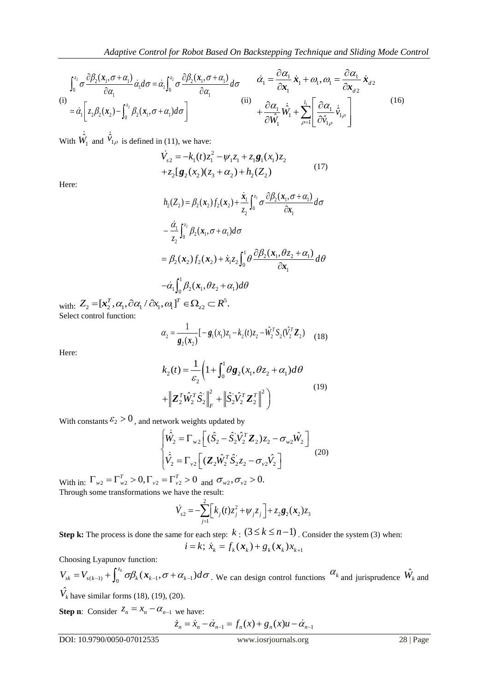$$
\int_0^{z_2} \sigma \frac{\partial \beta_2(x_1, \sigma + \alpha_1)}{\partial \alpha_1} \dot{\alpha}_1 d\sigma = \dot{\alpha}_1 \int_0^{z_2} \sigma \frac{\partial \beta_2(x_1, \sigma + \alpha_1)}{\partial \alpha_1} d\sigma \qquad \dot{\alpha}_1 = \frac{\partial \alpha_1}{\partial x_1} \dot{x}_1 + \omega_1, \omega_1 = \frac{\partial \alpha_1}{\partial x_{d2}} \dot{x}_{d2}
$$
\n(i)  
\n
$$
= \dot{\alpha}_1 \left[ z_2 \beta_2(x_2) - \int_0^{z_2} \beta_2(x_1, \sigma + \alpha_1) d\sigma \right]
$$
\n(iii)  
\n
$$
+ \frac{\partial \alpha_1}{\partial \hat{W}_1} \dot{\hat{W}}_1 + \sum_{\rho=1}^{l_1} \left[ \frac{\partial \alpha_1}{\partial \hat{V}_{1\rho}} \dot{\hat{V}}_{1\rho} \right]
$$
\n(16)

With  $\hat{W}_1$  and  $\hat{V}_{1\rho}$  is defined in (11), we have:

$$
\dot{V}_{s2} = -k_1(t)z_1^2 - \psi_1 z_1 + z_1 \mathbf{g}_1(x_1) z_2 \n+ z_2[\mathbf{g}_2(x_2)(z_3 + \alpha_2) + h_2(Z_2)
$$
\n(17)

Here:

$$
h_2(Z_2) = \beta_2(\mathbf{x}_2) f_2(\mathbf{x}_2) + \frac{\dot{\mathbf{x}}_1}{z_2} \int_0^{z_2} \sigma \frac{\partial \beta_2(\mathbf{x}_1, \sigma + \alpha_1)}{\partial \mathbf{x}_1} d\sigma
$$
  
\n
$$
- \frac{\dot{\alpha}_1}{z_2} \int_0^{z_2} \beta_2(\mathbf{x}_1, \sigma + \alpha_1) d\sigma
$$
  
\n
$$
= \beta_2(\mathbf{x}_2) f_2(\mathbf{x}_2) + \dot{x}_1 z_2 \int_0^1 \theta \frac{\partial \beta_2(\mathbf{x}_1, \theta z_2 + \alpha_1)}{\partial \mathbf{x}_1} d\theta
$$
  
\n
$$
- \dot{\alpha}_1 \int_0^1 \beta_2(\mathbf{x}_1, \theta z_2 + \alpha_1) d\theta
$$

with:  $Z_2 = [\mathbf{x}_2^T, \alpha_1, \partial \alpha_1 / \partial x_1, \alpha_1]^T \in \Omega_{z2} \subset R^5$  $-\alpha_1 \int_0^L \beta_2(\mathbf{x}_1, \theta z_2 + \alpha_1)$ <br>  $Z_2 = [\mathbf{x}_2^T, \alpha_1, \partial \alpha_1 / \partial x_1, \alpha_1]^T \in \Omega_{z2} \subset \mathbb{R}^5.$ Select control function:

$$
\alpha_2 = \frac{1}{g_2(\mathbf{x}_2)} \left[ -g_1(x_1) z_1 - k_2(t) z_2 - \hat{W}_2^T S_2(\hat{V}_2^T \mathbf{Z}_2) \right]
$$
(18)

Here:

$$
k_2(t) = \frac{1}{\varepsilon_2} \left( 1 + \int_0^1 \theta \mathbf{g}_2(x_1, \theta z_2 + \alpha_1) d\theta \right)
$$
  
+ 
$$
\left\| \mathbf{Z}_2^T \hat{\mathbf{W}}_2^T \hat{\mathbf{S}}_2^{\cdot} \right\|_F^2 + \left\| \hat{\mathbf{S}}_2^{\cdot} \hat{\mathbf{V}}_2^T \mathbf{Z}_2^T \right\|^2
$$
 (19)

With constants 
$$
\varepsilon_2 > 0
$$
, and network weights updated by  
\n
$$
\begin{bmatrix}\n\dot{\hat{W}}_2 = \Gamma_{w2} \left[ (\hat{S}_2 - \hat{S}_2^{\dagger} \hat{V}_2^T \mathbf{Z}_2) z_2 - \sigma_{w2} \hat{W}_2 \right] \\
\dot{\hat{V}}_2 = \Gamma_{v2} \left[ (\mathbf{Z}_2 \hat{W}_2^T \hat{S}_2^{\dagger} z_2 - \sigma_{v2} \hat{V}_2 \right]\n\end{bmatrix}
$$
\n(20)

With in:  $\Gamma_{w2} = \Gamma_{w2}^T > 0, \Gamma_{v2} = \Gamma_{v2}^T > 0$  and  $\sigma_{w2}, \sigma_{v2} > 0$ . Through some transformations we have the result:

$$
\dot{V}_{s2} = -\sum_{j=1}^{2} \left[ k_j(t) z_j^2 + \psi_j z_j \right] + z_2 \mathbf{g}_2(\mathbf{x}_2) z_3
$$

**Step k:** The process is done the same for each step:  $k : (3 \le k \le n-1)$ . Consider the system (3) when:<br> $i = k$ ;  $\dot{x}_k = f_k(\mathbf{x}_k) + g_k(\mathbf{x}_k) x_{k+1}$ 

$$
= k; \dot{x}_k = f_k(\boldsymbol{x}_k) + g_k(\boldsymbol{x}_k) x_{k+1}
$$

Choosing Lyapunov function:

g Lyapunov function:<br>  $\alpha_{(k-1)} + \int_0^{z_k} \sigma \beta_k (\mathbf{x}_{k-1}, \sigma + \alpha_{k-1})$ *z* Choosing Lyapunov function:<br>  $V_{sk} = V_{s(k-1)} + \int_0^{z_k} \sigma \beta_k (\mathbf{x}_{k-1}, \sigma + \alpha_{k-1}) d\sigma$ . We can design control functions  $\alpha_k$  and jurisprudence  $\hat{W}_k$  and  $\hat{V}_k$  have similar forms (18), (19), (20).

**Step n**: Consider  $Z_n = X_n - \alpha_{n-1}$  we have:

we have:  
\n
$$
\dot{z}_n = \dot{x}_n - \dot{\alpha}_{n-1} = f_n(x) + g_n(x)u - \dot{\alpha}_{n-1}
$$

DOI: 10.9790/0050-07012535 www.iosrjournals.org 28 | Page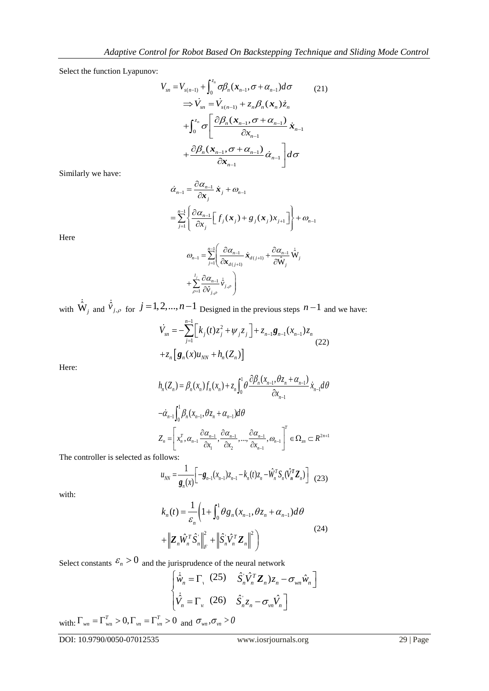Select the function Lyapunov:

$$
V_{sn} = V_{s(n-1)} + \int_0^{z_n} \sigma \beta_n (\mathbf{x}_{n-1}, \sigma + \alpha_{n-1}) d\sigma
$$
 (21)  
\n
$$
\Rightarrow \dot{V}_{sn} = \dot{V}_{s(n-1)} + z_n \beta_n (\mathbf{x}_n) \dot{z}_n
$$
\n
$$
+ \int_0^{z_n} \sigma \left[ \frac{\partial \beta_n (\mathbf{x}_{n-1}, \sigma + \alpha_{n-1})}{\partial x_{n-1}} \dot{\mathbf{x}}_{n-1} + \frac{\partial \beta_n (\mathbf{x}_{n-1}, \sigma + \alpha_{n-1})}{\partial x_{n-1}} \dot{\alpha}_{n-1} \right] d\sigma
$$

Similarly we have:

$$
\dot{\alpha}_{n-1} = \frac{\partial \alpha_{n-1}}{\partial x_j} \dot{x}_j + \omega_{n-1}
$$
\n
$$
= \sum_{j=1}^{n-1} \left\{ \frac{\partial \alpha_{n-1}}{\partial x_j} \left[ f_j(x_j) + g_j(x_j) x_{j+1} \right] \right\} + \omega_{n-1}
$$
\n
$$
\omega_n = \sum_{j=1}^{n-1} \left( \frac{\partial \alpha_{n-1}}{\partial x_j} \dot{x}_j + \frac{\partial \alpha_{n-1}}{\partial x_j} \dot{y}_j \right)
$$

Here

$$
\begin{split} \varpi_{n-1} &= \sum_{j=1}^{n-1} \left( \frac{\partial \alpha_{n-1}}{\partial \hat{\mathbf{x}}_{d(j+1)}} \, \dot{\mathbf{x}}_{d(j+1)} + \frac{\partial \alpha_{n-1}}{\partial \hat{\mathbf{W}}_j} \, \dot{\hat{\mathbf{W}}}_j \\ &+ \sum_{\rho=1}^{l_j} \frac{\partial \alpha_{n-1}}{\partial \hat{\mathbf{v}}_{j,\rho}} \, \dot{\hat{\mathbf{v}}}_{j,\rho} \, \right) \end{split}
$$

with  $\dot{\hat{W}}_j$  and  $\dot{\hat{V}}_{j,\rho}$  for  $j = 1, 2, ..., n-1$  Designed in the previous steps  $n-1$  and we have:<br> $\dot{V}_{sn} = -\sum_{i=1}^{n-1} \left[ k_j(t) z_j^2 + \psi_j z_j \right] + z_{n-1} \mathbf{g}_{n-1}(x_{n-1}) z_n$ 

$$
\dot{V}_{sn} = -\sum_{j=1}^{n-1} \left[ k_j(t) z_j^2 + \psi_j z_j \right] + z_{n-1} \mathbf{g}_{n-1}(x_{n-1}) z_n
$$
\n
$$
+ z_n \left[ \mathbf{g}_n(x) u_{NN} + h_n(Z_n) \right]
$$
\n(22)

Here:

$$
h_n(Z_n) = \beta_n(x_n) f_n(x_n) + z_n \int_0^1 \theta \frac{\partial \beta_n(x_{n-1}, \theta z_n + \alpha_{n-1})}{\partial x_{n-1}} \dot{x}_{n-1} d\theta
$$
  
\n
$$
-\dot{\alpha}_{n-1} \int_0^1 \beta_n(x_{n-1}, \theta z_n + \alpha_{n-1}) d\theta
$$
  
\n
$$
Z_n = \left[ x_n^T, \alpha_{n-1} \frac{\partial \alpha_{n-1}}{\partial x_1}, \frac{\partial \alpha_{n-1}}{\partial x_2}, ..., \frac{\partial \alpha_{n-1}}{\partial x_{n-1}}, \omega_{n-1} \right]^T \in \Omega_{2n} \subset R^{2n+1}
$$

The controller is selected as follows:

$$
u_{NN} = \frac{1}{g_n(x)} \Big[ -g_{n-1}(x_{n-1}) z_{n-1} - k_n(t) z_n - \hat{W}_n^T S_n(\hat{V}_n^T \mathbf{Z}_n) \Big] \tag{23}
$$

with:

$$
k_n(t) = \frac{1}{\varepsilon_n} \left( 1 + \int_0^1 \theta g_n(x_{n-1}, \theta z_n + \alpha_{n-1}) d\theta \right)
$$
  
+  $\left\| \mathbf{Z}_n \hat{W}_n^T \hat{S}_n \right\|_F^2 + \left\| \hat{S}_n \hat{V}_n^T \mathbf{Z}_n \right\|^2$  (24)  
the jurisprudence of the neural network  
 $\left\{ \dot{\hat{W}}_n = \Gamma_1 \quad (25) \quad \hat{S}_n \hat{V}_n^T \mathbf{Z}_n \right\} z_n - \sigma_{wn} \hat{W}_n$   
 $\left\| \dot{\hat{V}}_n = \Gamma_v \quad (26) \quad \hat{S}_n z_n - \sigma_{vn} \hat{V}_n \right\|$   
 $\int_{vn}^T > 0$  and  $\sigma_{wn}, \sigma_{vn} > 0$   
www.iosrjournals.org

Select constants 
$$
\mathcal{E}_n > 0
$$
 and the jurisprudence of the neural network  
\n
$$
\begin{bmatrix}\n\dot{\hat{w}}_n = \Gamma_1 (25) & \hat{S}_n' \hat{V}_n^T \mathbf{Z}_n \hat{z}_n - \sigma_{wn} \hat{w}_n\n\end{bmatrix}
$$
\n
$$
\begin{bmatrix}\n\dot{\hat{V}}_n = \Gamma_v (26) & \hat{S}_n' \hat{z}_n - \sigma_{vn} \hat{V}_n\n\end{bmatrix}
$$
\n
$$
\begin{bmatrix}\n\dot{\hat{V}}_n = \Gamma_v (26) & \hat{S}_n' \hat{z}_n - \sigma_{vn} \hat{V}_n\n\end{bmatrix}
$$

with:  $\Gamma_{wn} = \Gamma_{wn}^T > 0$ ,  $\Gamma_{vn} = \Gamma_{vn}^T > 0$  and

DOI: 10.9790/0050-07012535 www.iosrjournals.org 29 | Page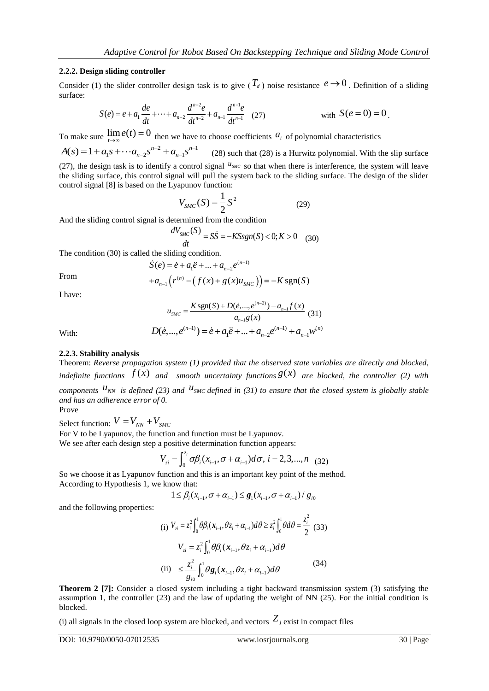# **2.2.2. Design sliding controller**

Consider (1) the slider controller design task is to give  $(T_d)$  noise resistance  $e \to 0$ . Definition of a sliding surface:

$$
S(e) = e + a_1 \frac{de}{dt} + \dots + a_{n-2} \frac{d^{n-2}e}{dt^{n-2}} + a_{n-1} \frac{d^{n-1}e}{dt^{n-1}} \quad (27)
$$
 with  $S(e = 0) = 0$ .

To make sure  $\lim_{t\to\infty} e(t) = 0$  then we have to choose coefficients  $a_i$  of polynomial characteristics

Adaptive Control for Robot Based On Backs<br>
sliding controller<br>
he slider controller design task is to give  $(T_d)$ <br>  $e) = e + a_1 \frac{de}{dt} + \dots + a_{n-2} \frac{d^{n-2}e}{dt^{n-2}} + a_{n-1} \frac{d^{n-1}e}{dt^{n-1}}$  (27<br>  $\lim_{t \to \infty} e(t) = 0$  then we have t orive Control for Rol<br> **ng controller**<br>
lider controller design<br>  $e + a_1 \frac{de}{dt} + \cdots + a_{n-2} \frac{d'}{dt}$ <br>  $e(t) = 0$  then we hav<br>  $\cdots a_{n-2} s^{n-2} + a_{n-1} s^{n-1}$ <br>
k is to identify a contr To make sure  $\lim_{t \to \infty} e(t) = 0$  then we have to<br> $A(s) = 1 + a_1 s + \cdots + a_{n-2} s^{n-2} + a_{n-1} s^{n-1}$ (28) such that (28) is a Hurwitz polynomial. With the slip surface (27), the design task is to identify a control signal  $u_{\text{SMC}}$  so that when there is interference, the system will leave the sliding surface, this control signal will pull the system back to the sliding surface. The design of the slider control signal [8] is based on the Lyapunov function:

$$
V_{SMC}(S) = \frac{1}{2}S^2
$$
 (29)

And the sliding control signal is determined from the condition  
\n
$$
\frac{dV_{SMC}(S)}{dt} = S\dot{S} = -KSsgn(S) < 0; K > 0 \quad (30)
$$

The condition (30) is called the sliding condition.<br>  $\dot{S}(e) = \dot{e} + a_1 \ddot{e} + ... + a_{n-2} e^{0}$ 

the sliding condition.  
\n
$$
\dot{S}(e) = \dot{e} + a_1 \ddot{e} + ... + a_{n-2} e^{(n-1)}
$$

From

$$
S(e) = \dot{e} + a_1 \ddot{e} + ... + a_{n-2} e^{(n-1)}
$$
  
+ 
$$
a_{n-1} (r^{(n)} - (f(x) + g(x)u_{SMC})) = -K \text{sgn}(S)
$$

I have:

$$
u_{SMC} = \frac{K \operatorname{sgn}(S) + D(\dot{e}, \dots, e^{(n-2)}) - a_{n-1} f(x)}{a_{n-1} g(x)}
$$
(31)

With:

$$
u_{\text{SMC}} = \frac{1}{\frac{a_{n-1}g(x)}{a_{n-1}g(x)}} \tag{31}
$$
\n
$$
D(\dot{e}, ..., e^{(n-1)}) = \dot{e} + a_1 \ddot{e} + ... + a_{n-2} e^{(n-1)} + a_{n-1} w^{(n)}
$$

#### **2.2.3. Stability analysis**

Theorem: *Reverse propagation system (1) provided that the observed state variables are directly and blocked, indefinite functions*  $J(x)$  *and smooth uncertainty functions*  $g(x)$  *are blocked, the controller* (2) with called the sliding condition.<br>  $\dot{S}(e) = \dot{e} + a_1 \ddot{e} + ... + a_{n-2} e^{(n-1)}$ <br>  $+ a_{n-1} (r^{(n)} - (f(x) + g(x)u_{SMC})) = -K$ <br>  $u_{SMC} = \frac{K \text{sgn}(S) + D(\dot{e}, ..., e^{(n-2)}) - a_n}{a_{n-1}g(x)}$ <br>  $D(\dot{e}, ..., e^{(n-1)}) = \dot{e} + a_1 \ddot{e} + ... + a_{n-2} e^{(n-1)}$ <br>
sis<br>
sis<br>
pag *g*<sub>n-1</sub>*f*(*x*) (31)<br> *g*<sub>n-1</sub>*w*<sup>(*n*)</sup><br> *g*  $(31)$ <br> *g*  $x^{-1}$  + *a*<sub>n-1</sub>*w*<sup>(*n*)</sup><br> *g* (*x*) are blocked, the controller (2) with<br> *g* (*x*) are blocked, the controller (2) with<br> *g* (*x*) are blocked system is globa *components*  $u_{NN}$  *is defined (23) and*  $u_{SMC}$  *defined in (31) to ensure that the closed system is globally stable and has an adherence error of 0.* Prove

Select function:  $V = V_{NN} + V_{SMC}$ For V to be Lyapunov, the function and function must be Lyapunov.

We see after each design step a positive determination function appears:  
\n
$$
V_{zi} = \int_0^{z_i} \sigma \beta_i (x_{i-1}, \sigma + \alpha_{i-1}) d\sigma, \ i = 2, 3, ..., n \quad (32)
$$

So we choose it as Lyapunov function and this is an important key point of the method. According to Hypothesis 1, we know that:

Now that:  
\n
$$
1 \leq \beta_i (x_{i-1}, \sigma + \alpha_{i-1}) \leq g_1 (x_{i-1}, \sigma + \alpha_{i-1}) / g_{i0}
$$

and the following properties:

(i) 
$$
V_{zi} = z_i^2 \int_0^1 \theta \beta_i (\mathbf{x}_{i-1}, \theta z_i + \alpha_{i-1}) d\theta \ge z_i^2 \int_0^1 \theta d\theta = \frac{z_i^2}{2}
$$
 (33)  
\n
$$
V_{zi} = z_i^2 \int_0^1 \theta \beta_i (\mathbf{x}_{i-1}, \theta z_i + \alpha_{i-1}) d\theta
$$
\n(ii) 
$$
\le \frac{z_i^2}{g_{io}} \int_0^1 \theta \mathbf{g}_i (\mathbf{x}_{i-1}, \theta z_i + \alpha_{i-1}) d\theta
$$
 (34)

**Theorem 2 [7]:** Consider a closed system including a tight backward transmission system (3) satisfying the assumption 1, the controller (23) and the law of updating the weight of NN (25). For the initial condition is blocked.

(i) all signals in the closed loop system are blocked, and vectors  $Z_j$  exist in compact files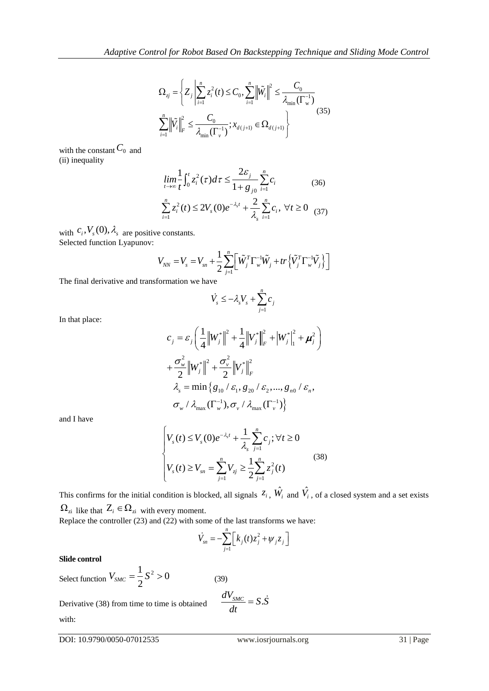$$
\Omega_{zj} = \left\{ Z_j \left| \sum_{i=1}^n z_i^2(t) \le C_0, \sum_{i=1}^n \left\| \tilde{W}_i \right\|^2 \le \frac{C_0}{\lambda_{\min}(\Gamma_v^{-1})} \right\} \right\}
$$
\n
$$
\sum_{i=1}^n \left\| \tilde{V}_i \right\|_F^2 \le \frac{C_0}{\lambda_{\min}(\Gamma_v^{-1})}; \lambda_{d(j+1)} \in \Omega_{d(j+1)} \right\}
$$
\nThe constant  $C_0$  and equality

\n
$$
\lim_{t \to \infty} \frac{1}{t} \int_0^t z_i^2(\tau) d\tau \le \frac{2\varepsilon_j}{1 + g_{j0}} \sum_{i=1}^n c_i \tag{36}
$$
\n
$$
\sum_{i=1}^n z_i^2(t) \le 2V_s(0)e^{-\lambda_s t} + \frac{2}{\lambda_s} \sum_{i=1}^n c_i, \forall t \ge 0 \tag{37}
$$
\n
$$
c_i, V_s(0), \lambda_s \text{ are positive constants.}
$$
\nted function Lyapunov:

\n
$$
V_{NN} = V_s = V_{sn} + \frac{1}{2} \sum_{i=1}^n \left[ \tilde{W}_j^T \Gamma_w^{-1} \tilde{W}_j + tr \left\{ \tilde{V}_j^T \Gamma_w^{-1} \tilde{V}_j \right\} \right]
$$

with the constant  $C_0$  and (ii) inequality

$$
\lim_{t \to \infty} \frac{1}{t} \int_0^t z_i^2(\tau) d\tau \le \frac{2\varepsilon_j}{1 + g_{j0}} \sum_{i=1}^n c_i
$$
\n
$$
\sum_{i=1}^n z_i^2(t) \le 2V_s(0) e^{-\lambda_s t} + \frac{2}{\lambda_s} \sum_{i=1}^n c_i, \forall t \ge 0 \tag{37}
$$

with  $C_i$ ,  $V_s$ (U),  $A_s$  are positive constants. Selected function Lyapunov:

$$
V_{NN} = V_s = V_{sn} + \frac{1}{2} \sum_{j=1}^{n} \left[ \tilde{W}_j^T \Gamma_w^{-1} \tilde{W}_j + tr \left\{ \tilde{V}_j^T \Gamma_w^{-1} \tilde{V}_j \right\} \right]
$$

The final derivative and transformation we have

$$
\dot{V}_s \le -\lambda_s V_s + \sum_{j=1}^n c_j
$$

In that place:

$$
\Omega_{ij} = \left\{ Z_j \left| \sum_{i=1}^{n} \hat{\epsilon}_i^2(t) \leq C_0, \sum_{i=1}^{n} |\hat{W}_i| \right\}^2 \leq \frac{C_0}{\hat{\lambda}_{min}(\Gamma_{ij}^{-1})}
$$
\nwith the constant  $C_0$  and  
\n(i) inequality  
\nwith the constant  $C_0$  and  
\n
$$
\lim_{t \to \infty} \frac{1}{t} \int_0^t \hat{\epsilon}_i^2(t) dt \leq \frac{2C_j}{1+g_{j0}} \sum_{i=1}^n C_i
$$
\n
$$
\sum_{i=1}^n \hat{\epsilon}_i^2(t) \leq 2V_s(0) e^{-\lambda t} + \frac{2}{\lambda_s} \sum_{i=1}^n C_i, \forall t \geq 0 \quad (37)
$$
\nwith  $C_i, V_s(0), \lambda_i$  are positive constants.  
\nSelected function, Lyapunov:  
\n
$$
V_{\text{aw}} = V_s = V_{\text{aw}} + \frac{1}{2} \sum_{j=1}^n \left[ \hat{W}_j^T \Gamma_{ij}^{-1} \hat{W}_j + tr \left\{ \hat{V}_j^T \Gamma_{ij}^{-1} \hat{V}_j \right\} \right]
$$
\nThe final derivative and transformation we have  
\n
$$
\hat{V}_s = -\lambda_s V_s + \sum_{j=1}^n \hat{\epsilon}_j
$$
\nIn that place:  
\n
$$
C_j = \hat{\epsilon}_j \left( \frac{1}{4} ||W_j||_F^2 + ||W_j||_F^2 + ||W_j||_F^2 + ||W_j||_F^2 + ||W_j||_F^2||_F^2 \right)
$$
\n
$$
+ \frac{\sigma_e^2}{2} ||W_j||_F^2 + \frac{\sigma_e^2}{2} ||V_j||_F^2
$$
\n
$$
\lambda_s = \min \left\{ g_{10} / \hat{\epsilon}_1, g_{20} / \hat{\epsilon}_2, \dots, g_{n0} / \hat{\epsilon}_n, g_{n1} / \hat{\epsilon}_n \right\}
$$
\nand I have  
\n
$$
\begin{cases}\nV_s(t) \leq V_s(0) e^{-\lambda_s t} + \frac{1}{\lambda_s} \sum_{j=1}^n C_j; \forall t \geq 0 \\
V_s(t) \geq V_{\text{max}} \left
$$

and I have

$$
\begin{cases} V_s(t) \le V_s(0)e^{-\lambda_s t} + \frac{1}{\lambda_s} \sum_{j=1}^n c_j; \forall t \ge 0\\ V_s(t) \ge V_{sn} = \sum_{j=1}^n V_{sj} \ge \frac{1}{2} \sum_{j=1}^n z_j^2(t) \end{cases}
$$
(38)

This confirms for the initial condition is blocked, all signals  $z_i$ ,  $\hat{W}_i$  and  $\hat{V}_i$ , of a closed system and a set exists  $\Omega_{zi}$  like that  $Z_i \in \Omega_{zi}$  with every moment. Replace the controller (23) and (22) with some of the last transforms we have:

$$
\dot{V}_{sn} = -\sum_{j=1}^{n} \left[ k_j(t) z_j^2 + \psi_j z_j \right]
$$

*dt*

#### **Slide control**

Select function  $\frac{1}{2} S^2 > 0$  $V_{SMC} = \frac{1}{2} S^2 > 0$  (39)  $\frac{dV_{SMC}}{d} = S.\dot{S}$ 

Derivative (38) from time to time is obtained with:

 $= S.\dot{S}$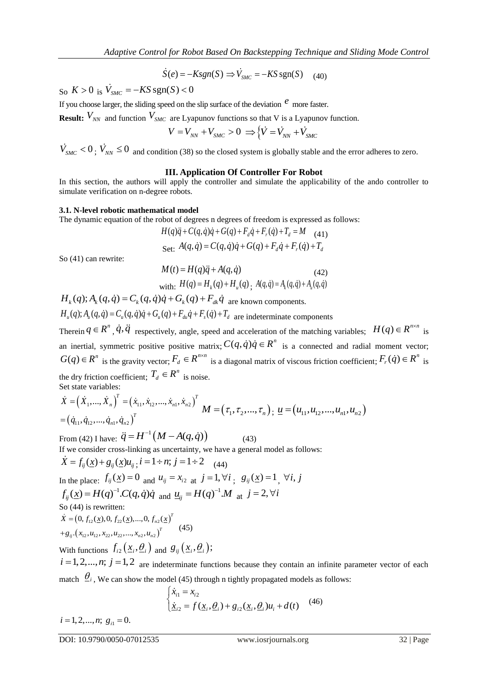$$
\dot{S}(e) = -Ksgn(S) \Rightarrow \dot{V}_{SMC} = -KSsgn(S) \quad (40)
$$

 $S_0$   $K > 0$  is  $\dot{V}_{SMC} = -KS \text{sgn}(S) < 0$ 

If you choose larger, the sliding speed on the slip surface of the deviation *e* more faster.

**Result:**  $V_{NN}$  and function  $V_{SMC}$  are Lyapunov functions so that V is a Lyapunov function.

$$
V = V_{NN} + V_{SMC} > 0 \implies \left\{ \dot{V} = \dot{V}_{NN} + \dot{V}_{SMC} \right\}
$$

 $\dot{V}_{SMC}$  < 0;  $\dot{V}_{NN} \le 0$  and condition (38) so the closed system is globally stable and the error adheres to zero.

#### **III. Application Of Controller For Robot**

In this section, the authors will apply the controller and simulate the applicability of the ando controller to simulate verification on n-degree robots.

#### **3.1. N-level robotic mathematical model**

The dynamic equation of the robot of degrees n degrees of freedom is expressed as follows:<br>  $H(q)\ddot{q} + C(q, \dot{q})\dot{q} + G(q) + F_d\dot{q} + F_r(\dot{q}) + T_d = M$  (41)

$$
H(q)\ddot{q} + C(q, \dot{q})\dot{q} + G(q) + F_d\dot{q} + F_r(\dot{q}) + T_d = M \quad (41)
$$
  
Set:  $A(q, \dot{q}) = C(q, \dot{q})\dot{q} + G(q) + F_d\dot{q} + F_r(\dot{q}) + T_d$ 

So (41) can rewrite:

$$
M(t) = H(q)\ddot{q} + A(q, \dot{q})
$$
\n
$$
\text{with: } H(q) = H_k(q) + H_u(q), \quad A(q, \dot{q}) = A_k(q, \dot{q}) + A_u(q, \dot{q})
$$
\n(42)

with:  $H(q) = H_k(q) + H_u(q)$ ;  $A(q, \dot{q}) = A_k(q, \dot{q}) + A_u$ <br>  $H_k(q); A_k(q, \dot{q}) = C_k(q, \dot{q})\dot{q} + G_k(q) + F_{dk}\dot{q}$  are known components.  $H_k(q); A_k(q, \dot{q}) = C_k(q, \dot{q})\dot{q} + G_k(q) + F_{dk}\dot{q}$  are known components.<br>  $H_u(q); A_u(q, \dot{q}) = C_u(q, \dot{q})\dot{q} + G_u(q) + F_{du}\dot{q} + F_s(\dot{q}) + T_d$  are indeterminate components Therein  $q \in R^n$ ,  $\dot{q}, \ddot{q}$  respectively, angle, speed and acceleration of the matching variables;  $H(q) \in R^{n \times n}$  is *n n**i n* **<b>***i n i n i i i i i i i i i i i i i i i i i i i i i i i i i i i i i*  $H(q)q + C(q,q)q + G(q) + F_d q + F_q$ <br>
Set:  $A(q, \dot{q}) = C(q, \dot{q})\dot{q} + G(q)$ <br>
e:<br>  $M(t) = H(q)\ddot{q} + A(q, \dot{q})$ <br>
with:  $H(q) = H_k(q) + H_u(q)$ ;  $A(q, \dot{q}) = C_k(q, \dot{q})\dot{q} + G_k(q) + F_{dk}\dot{q}$  are known  $C_u(q, \dot{q})\dot{q} + G_u(q) + F_{du}\dot{q} + F_s(\dot{q}) + T_d$  are indetes  $\ddot{$ an inertial, symmetric positive positive matrix;  $C(q, \dot{q})\dot{q} \in R^n$  is a connected and radial moment vector; The dynamic equation of the robot of degrees n degrees of free<br>  $H(q)\ddot{q}+C(q,\dot{q})\dot{q}+G(q)+F_d\dot{q}+F_r$ <br>
Set:  $A(q,\dot{q})=C(q,\dot{q})\dot{q}+G(q)+F_d\dot{q}+F_r$ <br>
So (41) can rewrite:<br>  $M(t) = H(q)\ddot{q}+A(q,\dot{q})$ <br>
with:  $H(q) = H_k(q) + H_u(q)$ ,  $A(q,$ <br> is the gravity vector;  $F_d \in R^{n \times n}$  is a diagonal matrix of viscous friction coefficient;  $F_r(\dot{q}) \in R^n$  is *n n degrees n* degrees of freedom is expressed as follows:<br> *n*) $q\ddot{q} + C(q, \dot{q})\dot{q} + G(q) + F_d\dot{q} + F_r(\dot{q}) + T_d = M$  (41)<br> *i*.  $A(q, \dot{q}) = C(q, \dot{q})\dot{q} + G(q) + F_d\dot{q} + F_r(\dot{q}) + T_d$ <br> *i*.  $H(q) = H_q(q)\ddot{q} + A(q, \dot{q})$  (42)<br> *n*: the dry friction coefficient;  $I_d \in K$  is noise. *H*(*a*) $\ddot{q}$  *i*  $\in$  *C*(*a*, *a*) $\dot{q}$  *i*  $\in$  *C*(*a*) *i*  $\in$  *F*<sub>*d*</sub><sup> $d$ </sup> *i F*<sub>*f*</sub> $\dot{q}$  *i F*<sub>*f*</sub> $\dot{q}$  *i F*<sub>*f*</sub> $\dot{q}$  *i F*<sub>*f*</sub> $\dot{q}$  *i T*<sub>*d*</sub> *i H*<sub>*d*</sub> *i A*(*a*, *a*) (42) with speed and acceleration of the matching variables;  $H(q) \in H$ <br>
natrix;  $C(q, \dot{q})\dot{q} \in R^n$  is a connected and radial moment<br>
<sup>*sn*</sup> is a diagonal matrix of viscous friction coefficient;  $F_r(\dot{q}) \in$ <br> **se.**<br>  $M = (\tau_1, \tau_2, ..., \tau_n)$ (*i*)  $\dot{q}$  ) $\dot{q} \in R^n$  is a connected and radial moment vectorial matrix of viscous friction coefficient;  $F_r(\dot{q}) \in R^n$ <br>  $\ldots$ ,  $\tau_n$ );  $\underline{u} = (u_{11}, u_{12}, ..., u_{n1}, u_{n2})$ <br>
(43)<br>
eneral model as follows:<br>  $g_{ij}(\underline{x}) = 1$ ,

Set state variables:  
\n
$$
\dot{X} = (\dot{X}_1, ..., \dot{X}_n)^T = (\dot{x}_{11}, \dot{x}_{12}, ..., \dot{x}_{n1}, \dot{x}_{n2})^T
$$
\n
$$
M = (\tau_1, \tau_2, ..., \tau_n), \underline{u} = (u_{11}, u_{12}, ..., u_{n1}, u_{n2})
$$
\n
$$
= (\dot{q}_{11}, \dot{q}_{12}, ..., \dot{q}_{n1}, \dot{q}_{n2})^T
$$

From (42) I have:  $\ddot{q} = H^{-1}(M - A(q, \dot{q}))$  (43) If we consider cross-linking as uncertainty, we have a general model as follows:

 $\dot{X} = f_{ij}(\underline{x}) + g_{ij}(\underline{x})u_{ij}$ ;  $i = 1 \div n$ ;  $j = 1 \div 2$  (44) In the place:  $J_{ij}(\underline{x}) = 0$  and  $u_{ij} = x_{i2}$  at  $J = 1, \forall i$ ; x,  $q$ ,  $q$ ,  $q$  respectively, angle, speed and acceleration if  $f$ ,  $q$ ,  $q$ ,  $q$  is a time positive matrix;  $C(q, \dot{q})\dot{q} \in \mathbb{R}^{n}$ <br>
s the gravity vector;  $F_d \in \mathbb{R}^{n \times n}$  is a diagonal matrix of n coefficient;  $T_d$ *i* we positive matrix;  $C(q, \dot{q})\dot{q} \in R^n$  is a connected and rator;  $F_d \in R^{n \times n}$  is a diagonal matrix of viscous friction coefficient  $\in R^n$  is noise.<br>  $\dots, \dot{x}_{n1}, \dot{x}_{n2}$   $\big)^T$   $M = (\tau_1, \tau_2, ..., \tau_n)$ ;  $\underline{u} = (u_{11}, u_{12},$  $f_{ij}(\underline{x}) = H(q)^{-1} \cdot C(q, \dot{q}) \dot{q}$  and  $\underline{u}_{ij} = H(q)^{-1} \cdot M$  at *j*  $q \in K$  is a connected and radial moment vector;<br>al matrix of viscous friction coefficient;  $F_r(\dot{q}) \in R^n$  is<br>...,  $\tau_n$ );  $\underline{u} = (u_{11}, u_{12}, ..., u_{n1}, u_{n2})$ <br>43)<br>areal model as follows:<br> $\tau_j(\underline{x}) = 1$ ,  $\forall i, j$ <br> $j = 2, \forall i$ So (44) is rewritten:  $(0, f_{12}(\underline{x}), 0, f_{22}(\underline{x}), ..., 0, f_{n2}(\underline{x}))$  $f_{12}(\underline{x}), 0, f_{22}(\underline{x}), ..., 0, f_{n2}$ 4) is rewritten:<br>0,  $f_{12}(\underline{x})$ , 0,  $f_{22}(\underline{x})$ ,..., 0,  $f_{n2}(\underline{x})$  $(x_1, u_{12}, x_{22}, u_{22},..., x_{n2},$ <br> $(x_{12}, u_{12}, x_{22}, u_{22},..., x_{n2},$  $T_{n2}(\underline{x})^T$ So (44) is rewritten:<br> $\dot{X} = (0, f_{12}(\underline{x}), 0, f_{22}(\underline{x}), ..., 0, f_{n2}(\underline{x}))$  $g_j = (0, f_{12}(\underline{x}), 0, f_{22}(\underline{x}), ..., 0,$ <br>  $g_{ij}.(x_{12}, u_{12}, x_{22}, u_{22}, ..., x_{n2}, u_{n2})$ Ÿ (45) *f*  $q_{n2}$  *i*  $\hat{q}_{n1}$ ,  $x_{11}$ ,  $x_{n2}$ ,  $\ldots$ ,  $x_{n1}$ ,  $x_{n2}$  *M* = ( $\tau_1$ ,  $\tau_2$ , ...,  $\tau_n$ )<br> *i*,  $\ddot{q} = H^{-1}(M - A(q, \dot{q}))$  (43)<br> *i* oss-linking as uncertainty, we have a general mean  $f(x)u_{ij}$ ,  $i = 1 \div n$ ;  $j =$ *g*  $M = (\tau_1, \tau_2, ..., \tau_n); \underline{u} = (u_{11}, u_{12}, ...$ <br>  $(A(q, \dot{q}))$  (43)<br>
certainty, we have a general model as follows:<br>  $j = 1 \div 2$  (44)<br>  $= x_{i2 \text{ at } j = 1, \forall i; g_{ij}(\underline{x}) = 1, \forall i, j$ <br>  $\underline{u}_{ij} = H(q)^{-1} \cdot M$  at  $j = 2, \forall i$ <br> *i*<br> *g*  $(\underline{x}_i, \underline{\theta$ 

$$
+g_{ij}.(x_{12},u_{12},x_{22},u_{22},...,x_{n2},u_{n2})^T
$$

With functions  $J_{i2}(\underline{x}_i, \underline{\theta}_i)$  and

 $i = 1, 2, \dots, n$ ;  $j = 1, 2$  are indeterminate functions because they contain an infinite parameter vector of each match  $\theta_i$ , We can show the model (45) through n tightly propagated models as follows:<br> $\int \dot{x}_{i1} = x_{i2}$ 

$$
\begin{cases} \dot{x}_{i1} = x_{i2} \\ \dot{x}_{i2} = f(\underline{x}_i, \underline{\theta}_i) + g_{i2}(\underline{x}_i, \underline{\theta}_i)u_i + d(t) \end{cases} (46)
$$

 $i = 1, 2, \dots, n; \ g_{i1} = 0.$ 

 $I(q) \in R^{n \times n}$  is<br>noment vector;<br> $F_r(\dot{q}) \in R^n$  is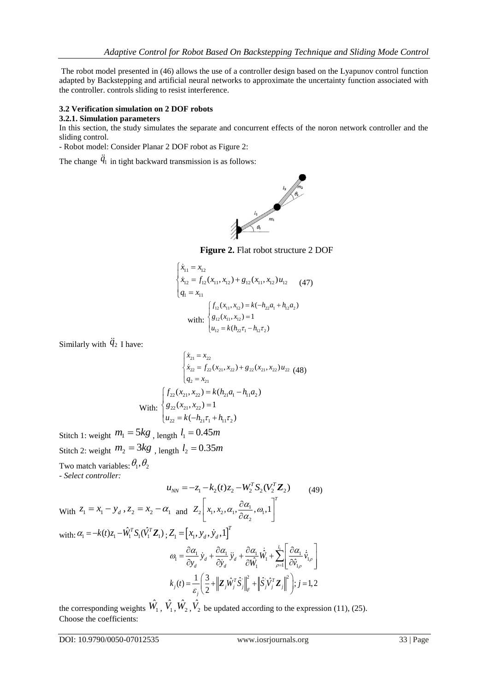The robot model presented in (46) allows the use of a controller design based on the Lyapunov control function adapted by Backstepping and artificial neural networks to approximate the uncertainty function associated with the controller. controls sliding to resist interference.

# **3.2 Verification simulation on 2 DOF robots**

# **3.2.1. Simulation parameters**

In this section, the study simulates the separate and concurrent effects of the noron network controller and the sliding control.

- Robot model: Consider Planar 2 DOF robot as Figure 2:

The change  $\ddot{q}_1$  in tight backward transmission is as follows:



**Figure 2.** Flat robot structure 2 DOF

$$
\begin{cases}\n\dot{x}_{11} = x_{12} \\
\dot{x}_{12} = f_{12}(x_{11}, x_{12}) + g_{12}(x_{11}, x_{12})u_{12} \\
q_1 = x_{11} \\
\text{with: } \begin{cases}\nf_{12}(x_{11}, x_{12}) = k(-h_{22}a_1 + h_{12}a_2) \\
g_{12}(x_{11}, x_{12}) = 1 \\
u_{12} = k(h_{22}\tau_1 - h_{12}\tau_2)\n\end{cases}\n\end{cases} (47)
$$

Similarly with  $\ddot{q}_2$  I have:

$$
\begin{cases}\n\dot{x}_{12} = f_{12}(x_{11}, x_{12}) + g_{12}(x_{11}, x_{12})u_{12} & (47) \\
q_1 = x_{11} & \int_{B_{12}} (x_{11}, x_{12}) = k(-h_{22}a_1 + h_{22}) \\
\text{with: } \begin{cases}\n f_{12}(x_{11}, x_{12}) = k(-h_{22}a_1 + h_{22}) \\
 g_{12}(x_{11}, x_{12}) = 1\n\end{cases}\n\end{cases}
$$
\nSimilarly with  $\ddot{q}_2$  I have:  
\n
$$
\begin{cases}\n\dot{x}_{21} = x_{22} & \int_{\dot{x}_{22}} = f_{22}(x_{21}, x_{22}) + g_{22}(x_{21}, x_{22})u_{22} & (48) \\
 q_2 = x_{21} & \int_{B_{22}} (x_{21}, x_{22}) = 1\n\end{cases}
$$
\nWith: 
$$
\begin{cases}\n f_{22}(x_{21}, x_{22}) = k(h_{21}a_1 - h_{11}a_2) & \int_{B_{22}} (x_{21}, x_{22}) = 1 \\
 u_{22} = k(-h_{21}a_1 + h_{11}a_2)\n\end{cases}
$$
\n
$$
\text{Stitch 1: weight } m_1 = 5kg \text{, length } l_1 = 0.45m
$$
\n
$$
\text{Stitch 2: weight } m_2 = 3kg \text{, length } l_2 = 0.35m
$$
\n
$$
\text{Two match variables: } \theta_1, \theta_2
$$
\n
$$
B_1 = -z_1 - k_2(t)z_2 - W_1^T S_2 (V_2^T Z_2) \qquad (49)
$$

Stitch 1: weight  $M_1 = 3Kg$ , length  $l_1 = 0.43m$ Stitch 2: weight  $m_2 = 3Kg$ , length  $l_2 = 0.33m$  $[q_1 = x_{11}$ <br>
with:  $\begin{cases} f_{12}(x_{11}, x_{12}) = k(-h_{22}a_1 + h_{11}) \\ g_{12}(x_{11}, x_{12}) = 1 \end{cases}$ <br>
2 I have:<br>  $\begin{cases} \dot{x}_{21} = x_{22} \\ \dot{x}_{22} = f_{22}(x_{21}, x_{22}) + g_{22}(x_{21}, x_{22})u_2 \end{cases}$ <br>  $q_2 = x_{21}$ <br>
With:  $\begin{cases} f_{22}(x_{21}, x_{22}) = k(h_{21}a_1 - h_{11}$ Two match variables:  $\theta_1$ ,  $\theta_2$ *- Select controller:*  $u_{NN} = -z_1 - k_2(t)z_2 - W_2^T S_2 (V_2^T \mathbf{Z}_2)$  (49) With  $z_1 = x_1 - y_d$ ,  $z_2 = x_2 - \alpha_1$  and  $Z_2\left[x_1, x_2, \alpha_1, \frac{\partial \alpha_1}{\partial \alpha_2}, \omega_1\right]$  $Z_2\Bigg[\,x_{\!\scriptscriptstyle 1}, x_{\!\scriptscriptstyle 2}, \alpha_{\!\scriptscriptstyle 1}, \frac{\partial \alpha_{\!\scriptscriptstyle 1}}{\partial \alpha_{\!\scriptscriptstyle 2}} , \omega_{\!\scriptscriptstyle 1}, 1\,\Bigg]^T$  $\begin{bmatrix} 0 & \cdots & \cdots & 0 \\ 0 & \cdots & \cdots & 0 \end{bmatrix}^T$  $\left[ x_1, x_2, \alpha_1, \frac{\partial \alpha_1}{\partial \alpha_2}, \omega_1, 1 \right]$ with:  $\alpha_1 = -k(t)z_1 - \hat{W}_1^T S_1(\hat{V}_1^T \mathbf{Z}_1)$ ;  $Z_1 = [x_1, y_d, y_d, 1]^T$  $\dot{p}_1 = \frac{\partial \alpha_1}{\partial y_d} \dot{y}_d + \frac{\partial \alpha_1}{\partial \dot{y}_d} \ddot{y}_d + \frac{\partial \alpha_1}{\partial \hat{W}_1} \dot{\hat{W}}_1 + \sum_{\rho=1}^{l_1} \left[ \frac{\partial \alpha_1}{\partial \hat{v}_{1\rho}} \dot{\hat{v}}_1 \right]$  $\hat{V}_1 + \sum \left| \frac{C \alpha_1}{\sigma^2} \right| \hat{V}$  $\hat{V}$ ,  $\left|\left|\left|\frac{\partial V}{\partial x}\right|\right| \right| \partial \hat{V}$  $\ddot{y}_d + \frac{\partial \alpha_1}{\partial \dot{y}} \ddot{y}_d + \frac{\partial \alpha_1}{\partial \hat{w}} \dot{W}_1 + \sum$  $\frac{\partial}{\partial d}$  y<sub>d</sub> +  $\frac{\partial}{\partial \dot{y}_d}$  $\dot{y}_d + \frac{\partial \alpha_1}{\partial \dot{y}} \ddot{y}_d + \frac{\partial \alpha_1}{\partial \dot{W}} \dot{\hat{W}}_1 + \sum^{\ell_1} \left[ \frac{\partial \alpha_1}{\partial \hat{y}} \dot{\hat{y}}_1 \right]$  $\frac{\alpha_1}{y_d} \dot{y}_d + \frac{\partial \alpha_1}{\partial \dot{y}_d} \ddot{y}_d + \frac{\partial \alpha_1}{\partial \hat{W}_1} \dot{\hat{W}}_1 + \sum_{\rho=1}^{l_1} \left[ \frac{\partial \mathcal{C}}{\partial \hat{V}_1} \right]$  $\frac{\sum_{\rho=1}^{n}}{\partial \hat{v}_{1\rho}}$  $Z_1 = [x_1, y_d, y_d, 1]$ <br>  $\omega_1 = \frac{\partial \alpha_1}{\partial y} \dot{y}_1 + \frac{\partial \alpha_1}{\partial y} \ddot{y}_1 + \frac{\partial \alpha_1}{\partial y} \dot{y}_1 + \sum_{i=1}^{l_1} \left[ \frac{\partial \alpha_1}{\partial y} \dot{y}_i \right]$  $=$  $\begin{split} &\big[\mathbf{x_{1}},\mathbf{y_{d}},\mathbf{y_{d}},\mathbf{l}\big]\ &\frac{\partial\alpha_{1}}{\partial\mathbf{y_{d}}+\frac{\partial\alpha_{1}}{\partial\mathbf{y_{d}}}\ddot{\mathbf{y}}_{1}}+\frac{\partial\alpha_{1}}{\partial\mathbf{y_{d}}}\dot{\mathbf{w}}_{1}}+\sum_{i=1}^{l_{1}}\bigg[\frac{\partial\alpha_{1}}{\partial\mathbf{y_{i}}}\dot{\mathbf{y}}_{i}\bigg]\ \end{split}$ = $\frac{\partial \alpha_1}{\partial y_d} \dot{y}_d + \frac{\partial \alpha_1}{\partial \dot{y}_d} \ddot{y}_d + \frac{\partial \alpha_1}{\partial \hat{W}_1} \dot{\hat{W}}_1 + \sum_{\rho=1}^{l_1} \left[ \frac{\partial \alpha_1}{\partial \hat{v}_{1\rho}} \dot{\hat{v}}_{1\rho} \right]$  $\dot{y}_d + \frac{\partial \alpha_1}{\partial \dot{y}_d} \ddot{y}_d + \frac{\partial \alpha_1}{\partial \hat{W}_1} \dot{\hat{W}}_1 + \sum_{\rho=1}^{l_1} \left[ \frac{\partial \alpha_1}{\partial \hat{V}_{1,\rho}} \dot{\hat{V}}_1 \right]$  $\partial y_d \stackrel{\circ}{=} \frac{\partial y_d}{=} \frac{\partial W_1}{=} \frac{\partial W_1}{=} \frac{\partial \hat{V}_{1\rho}}{=} \left[ \frac{\partial \hat{V}_{1\rho}}{=} (t) \right]$ <br>  $\mathcal{L} = \frac{1}{\varepsilon} \left( \frac{3}{2} + \left\| \mathbf{Z}_j \hat{W}_j^T \hat{S}_j \right\|_F^2 + \left\| \hat{S}_j \hat{V}_j^T \mathbf{Z}_j \right\|^2 \right); j = 1, 2$  $k_j(t) = \frac{1}{\varepsilon_j} \left( \frac{3}{2} + \left\| \mathbf{Z}_j \hat{W}_j^T \hat{S}_j \right\|_F^2 + \left\| \hat{S}_j \hat{V}_j^T \mathbf{Z}_j \right\|^2 \right); j$  $\partial y_d$   $\partial y_d$   $\partial y_d$   $\partial W_1$   $\partial W_1$   $\partial W_2$   $\partial \hat{v}_{1\rho}$   $\partial \hat{v}_{1\rho}$   $\partial \hat{v}_{1\rho}$   $\partial \hat{v}_{1\rho}$   $\partial \hat{v}_{1\rho}$   $\partial \hat{v}_{1\rho}$   $\partial \hat{v}_{1\rho}$   $\partial \hat{v}_{1\rho}$   $\partial \hat{v}_{1\rho}$   $\partial \hat{v}_{1\rho}$   $\partial \hat{v}_{1\rho}$   $\partial \hat{v}_{1\rho}$   $\partial \hat{v}_{$ 

the corresponding weights  $\hat{W}_1$ ,  $\hat{V}_1$ ,  $\hat{W}_2$ ,  $\hat{V}_2$  be updated according to the expression (11), (25). Choose the coefficients: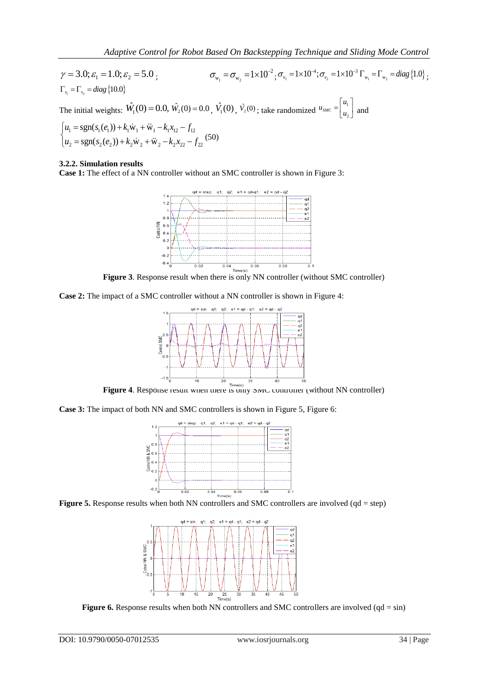Adaptive Control for Robot Based On Backstepping Technique and Sliding Mode Control  
\n
$$
\gamma = 3.0; \varepsilon_1 = 1.0; \varepsilon_2 = 5.0;
$$
  
\n
$$
\sigma_{w_1} = \sigma_{w_2} = 1 \times 10^{-2}; \sigma_{v_1} = 1 \times 10^{-4}; \sigma_{v_2} = 1 \times 10^{-3} \Gamma_{w_1} = \Gamma_{w_2} = diag\{1.0\};
$$
\n
$$
\Gamma_{v_1} = \Gamma_{v_2} = diag\{10.0\};
$$
\nThe initial weights:  $\hat{W}_1(0) = 0.0$ ,  $\hat{W}_2(0) = 0.0$ ,  $\hat{V}_1(0)$ ,  $\hat{V}_2(0)$ ; take randomized  $u_{\text{SMC}} = \begin{bmatrix} u_1 \\ u_2 \end{bmatrix}$  and  
\n
$$
\begin{cases} u_1 = \text{sgn}(s_1(e_1)) + k_1 \dot{w}_1 + \ddot{w}_1 - k_1 x_{12} - f_{12} \\ u_1 = \text{sgn}(s_1(e_1)) + k_1 \dot{w}_1 + \ddot{w}_1 - k_1 x_{12} - f_{12} \end{cases}
$$

The initial weights: 
$$
W_1(\sigma) = 0.0
$$
,  $W_2(\sigma) = 0.0$ ,  $\sqrt{2}$   
\n
$$
\begin{cases}\n u_1 = \text{sgn}(s_1(e_1)) + k_1 \dot{w}_1 + \ddot{w}_1 - k_1 x_{12} - f_{12} \\
 u_2 = \text{sgn}(s_2(e_2)) + k_2 \dot{w}_2 + \ddot{w}_2 - k_2 x_{22} - f_{22}\n\end{cases}
$$
\n(50)

# **3.2.2. Simulation results**

**Case 1:** The effect of a NN controller without an SMC controller is shown in Figure 3:



**Figure 3**. Response result when there is only NN controller (without SMC controller)

**Case 2:** The impact of a SMC controller without a NN controller is shown in Figure 4:



**Figure 4.** Response result when there is only SMC controller (without NN controller)

**Case 3:** The impact of both NN and SMC controllers is shown in Figure 5, Figure 6:



Figure 5. Response results when both NN controllers and SMC controllers are involved (qd = step)



**Figure 6.** Response results when both NN controllers and SMC controllers are involved (qd = sin)